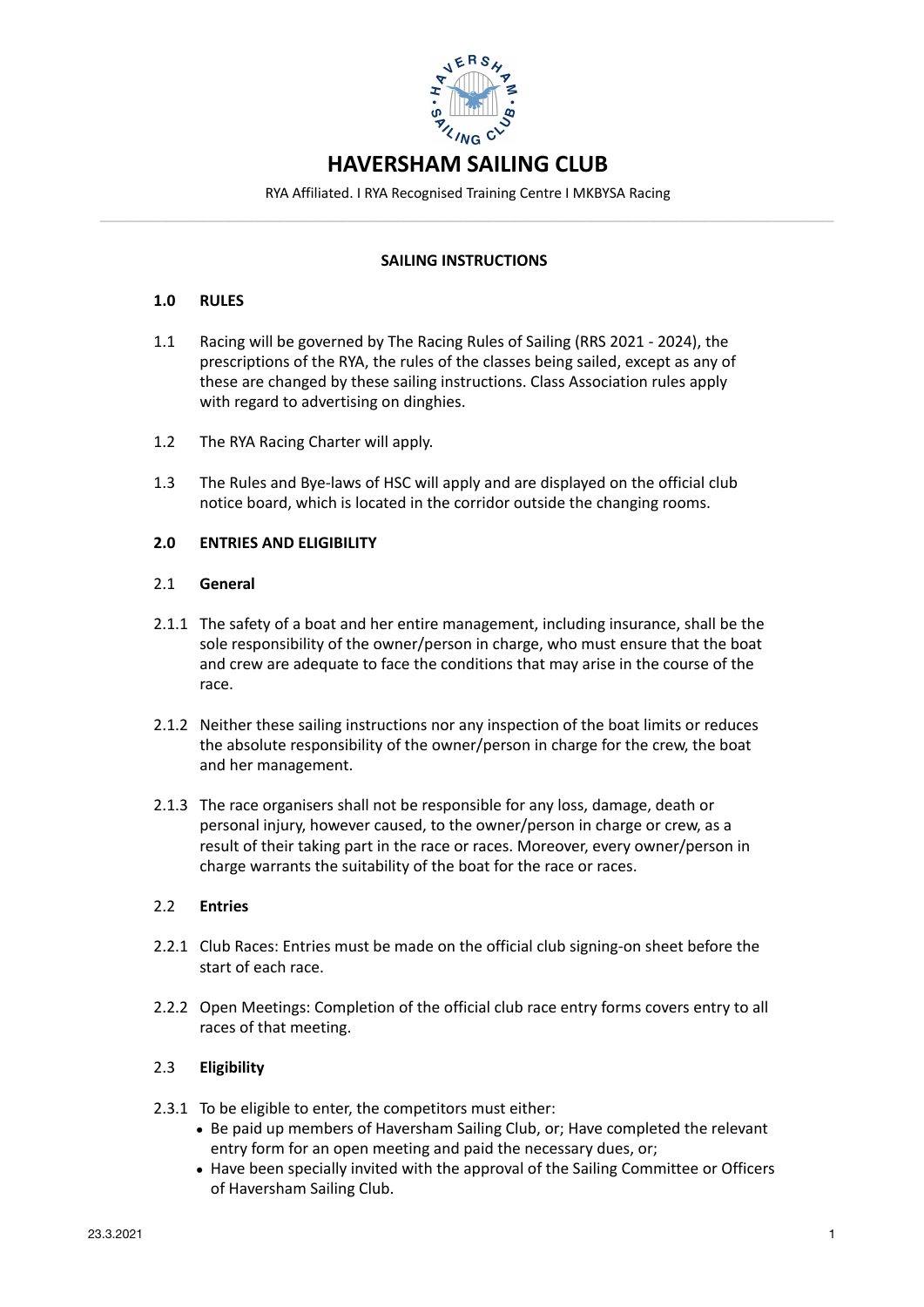

RYA Affiliated. I RYA Recognised Training Centre I MKBYSA Racing **–––––––––––––––––––––––––––––––––––––––––––––––––––––––––––––––––––––––––––––––––––––––––––––––**

## **SAILING INSTRUCTIONS**

### **1.0 RULES**

- 1.1 Racing will be governed by The Racing Rules of Sailing (RRS 2021 2024), the prescriptions of the RYA, the rules of the classes being sailed, except as any of these are changed by these sailing instructions. Class Association rules apply with regard to advertising on dinghies.
- 1.2 The RYA Racing Charter will apply.
- 1.3 The Rules and Bye-laws of HSC will apply and are displayed on the official club notice board, which is located in the corridor outside the changing rooms.

### **2.0 ENTRIES AND ELIGIBILITY**

### 2.1 **General**

- 2.1.1 The safety of a boat and her entire management, including insurance, shall be the sole responsibility of the owner/person in charge, who must ensure that the boat and crew are adequate to face the conditions that may arise in the course of the race.
- 2.1.2 Neither these sailing instructions nor any inspection of the boat limits or reduces the absolute responsibility of the owner/person in charge for the crew, the boat and her management.
- 2.1.3 The race organisers shall not be responsible for any loss, damage, death or personal injury, however caused, to the owner/person in charge or crew, as a result of their taking part in the race or races. Moreover, every owner/person in charge warrants the suitability of the boat for the race or races.

### 2.2 **Entries**

- 2.2.1 Club Races: Entries must be made on the official club signing-on sheet before the start of each race.
- 2.2.2 Open Meetings: Completion of the official club race entry forms covers entry to all races of that meeting.

## 2.3 **Eligibility**

- 2.3.1 To be eligible to enter, the competitors must either:
	- Be paid up members of Haversham Sailing Club, or; Have completed the relevant entry form for an open meeting and paid the necessary dues, or;
	- Have been specially invited with the approval of the Sailing Committee or Officers of Haversham Sailing Club.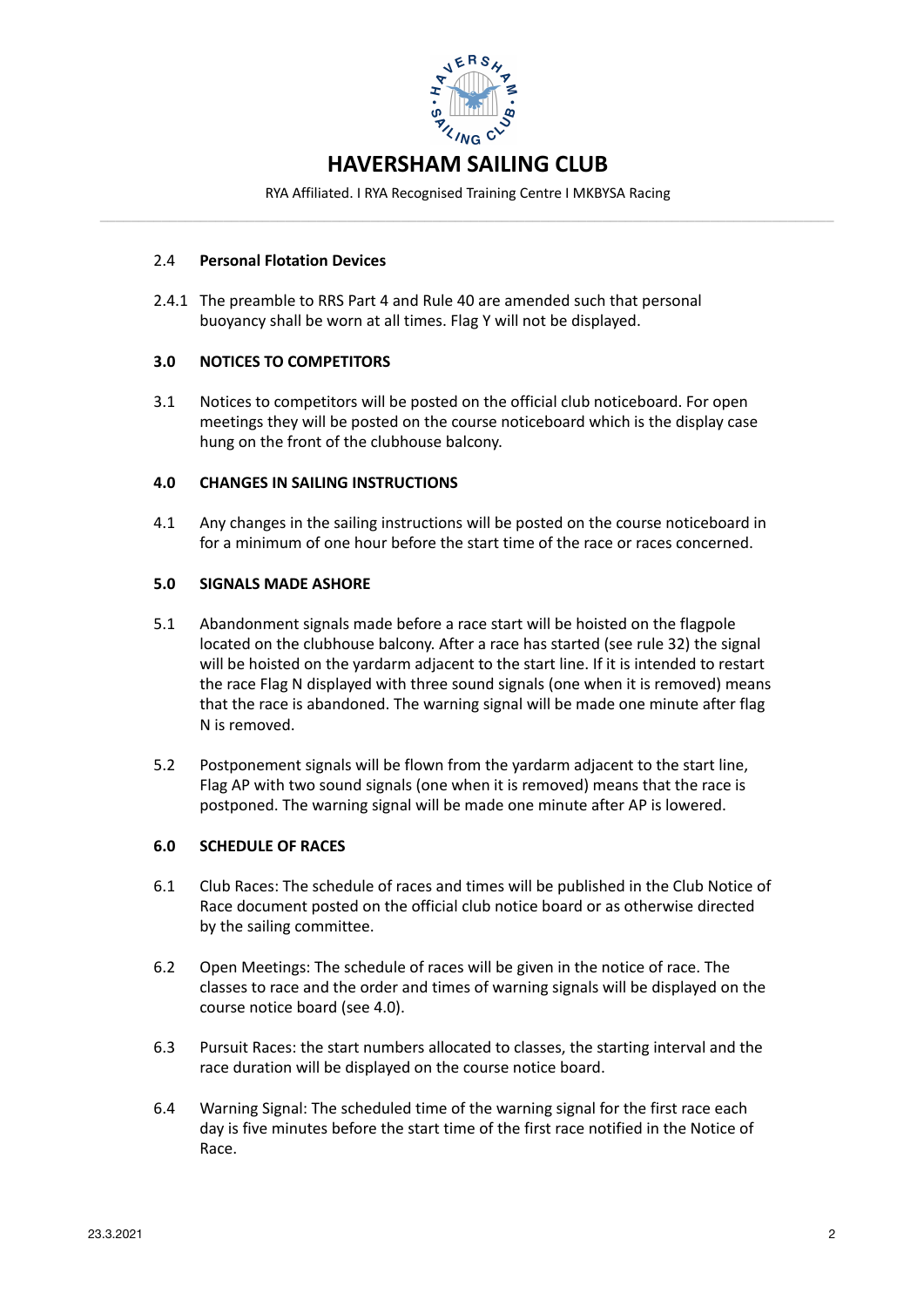

RYA Affiliated. I RYA Recognised Training Centre I MKBYSA Racing **–––––––––––––––––––––––––––––––––––––––––––––––––––––––––––––––––––––––––––––––––––––––––––––––**

### 2.4 **Personal Flotation Devices**

2.4.1 The preamble to RRS Part 4 and Rule 40 are amended such that personal buoyancy shall be worn at all times. Flag Y will not be displayed.

## **3.0 NOTICES TO COMPETITORS**

3.1 Notices to competitors will be posted on the official club noticeboard. For open meetings they will be posted on the course noticeboard which is the display case hung on the front of the clubhouse balcony.

### **4.0 CHANGES IN SAILING INSTRUCTIONS**

4.1 Any changes in the sailing instructions will be posted on the course noticeboard in for a minimum of one hour before the start time of the race or races concerned.

### **5.0 SIGNALS MADE ASHORE**

- 5.1 Abandonment signals made before a race start will be hoisted on the flagpole located on the clubhouse balcony. After a race has started (see rule 32) the signal will be hoisted on the yardarm adjacent to the start line. If it is intended to restart the race Flag N displayed with three sound signals (one when it is removed) means that the race is abandoned. The warning signal will be made one minute after flag N is removed.
- 5.2 Postponement signals will be flown from the yardarm adjacent to the start line, Flag AP with two sound signals (one when it is removed) means that the race is postponed. The warning signal will be made one minute after AP is lowered.

### **6.0 SCHEDULE OF RACES**

- 6.1 Club Races: The schedule of races and times will be published in the Club Notice of Race document posted on the official club notice board or as otherwise directed by the sailing committee.
- 6.2 Open Meetings: The schedule of races will be given in the notice of race. The classes to race and the order and times of warning signals will be displayed on the course notice board (see 4.0).
- 6.3 Pursuit Races: the start numbers allocated to classes, the starting interval and the race duration will be displayed on the course notice board.
- 6.4 Warning Signal: The scheduled time of the warning signal for the first race each day is five minutes before the start time of the first race notified in the Notice of Race.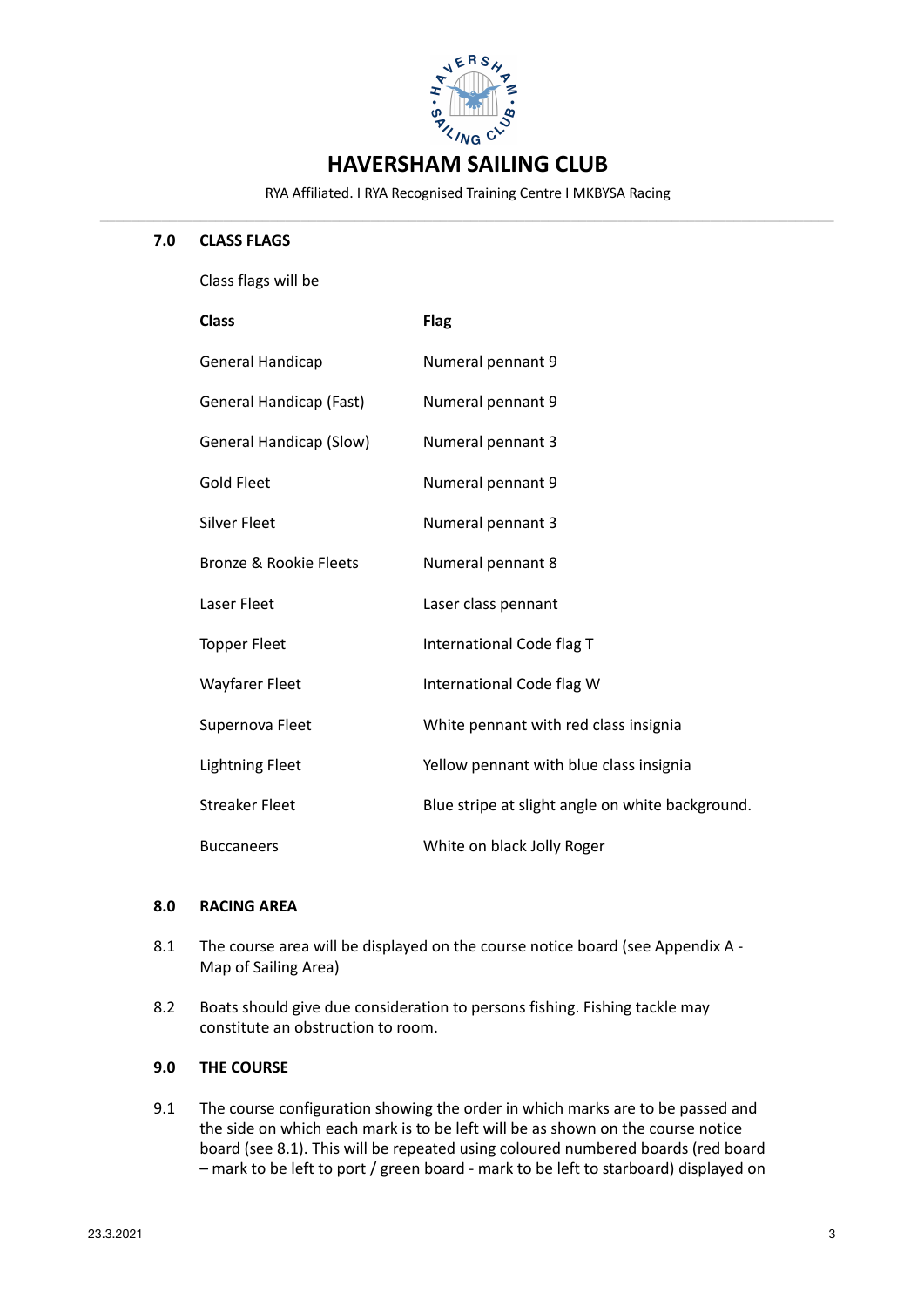

RYA Affiliated. I RYA Recognised Training Centre I MKBYSA Racing **–––––––––––––––––––––––––––––––––––––––––––––––––––––––––––––––––––––––––––––––––––––––––––––––**

### **7.0 CLASS FLAGS**

Class flags will be

| <b>Class</b>                   | <b>Flag</b>                                      |
|--------------------------------|--------------------------------------------------|
| General Handicap               | Numeral pennant 9                                |
| General Handicap (Fast)        | Numeral pennant 9                                |
| <b>General Handicap (Slow)</b> | Numeral pennant 3                                |
| Gold Fleet                     | Numeral pennant 9                                |
| <b>Silver Fleet</b>            | Numeral pennant 3                                |
| Bronze & Rookie Eleets         | Numeral pennant 8                                |
| Laser Fleet                    | Laser class pennant                              |
| <b>Topper Fleet</b>            | International Code flag T                        |
| <b>Wayfarer Fleet</b>          | International Code flag W                        |
| Supernova Fleet                | White pennant with red class insignia            |
| <b>Lightning Fleet</b>         | Yellow pennant with blue class insignia          |
| <b>Streaker Fleet</b>          | Blue stripe at slight angle on white background. |
| <b>Buccaneers</b>              | White on black Jolly Roger                       |

### **8.0 RACING AREA**

- 8.1 The course area will be displayed on the course notice board (see Appendix A -Map of Sailing Area)
- 8.2 Boats should give due consideration to persons fishing. Fishing tackle may constitute an obstruction to room.

# **9.0 THE COURSE**

9.1 The course configuration showing the order in which marks are to be passed and the side on which each mark is to be left will be as shown on the course notice board (see 8.1). This will be repeated using coloured numbered boards (red board - mark to be left to port / green board - mark to be left to starboard) displayed on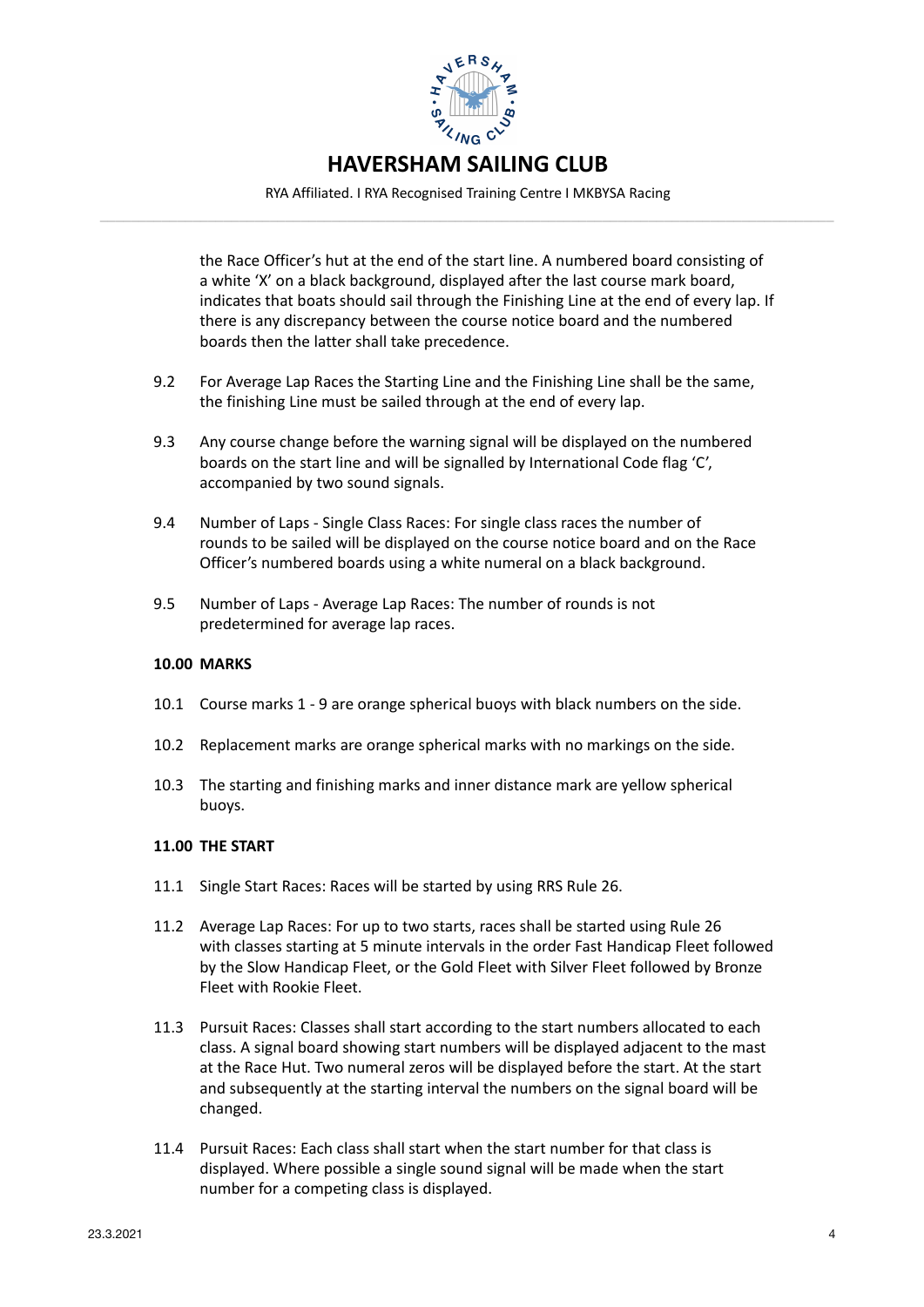

RYA Affiliated. I RYA Recognised Training Centre I MKBYSA Racing **–––––––––––––––––––––––––––––––––––––––––––––––––––––––––––––––––––––––––––––––––––––––––––––––**

> the Race Officer's hut at the end of the start line. A numbered board consisting of a white 'X' on a black background, displayed after the last course mark board, indicates that boats should sail through the Finishing Line at the end of every lap. If there is any discrepancy between the course notice board and the numbered boards then the latter shall take precedence.

- 9.2 For Average Lap Races the Starting Line and the Finishing Line shall be the same, the finishing Line must be sailed through at the end of every lap.
- 9.3 Any course change before the warning signal will be displayed on the numbered boards on the start line and will be signalled by International Code flag 'C', accompanied by two sound signals.
- 9.4 Number of Laps Single Class Races: For single class races the number of rounds to be sailed will be displayed on the course notice board and on the Race Officer's numbered boards using a white numeral on a black background.
- 9.5 Number of Laps Average Lap Races: The number of rounds is not predetermined for average lap races.

## **10.00 MARKS**

- 10.1 Course marks 1 9 are orange spherical buoys with black numbers on the side.
- 10.2 Replacement marks are orange spherical marks with no markings on the side.
- 10.3 The starting and finishing marks and inner distance mark are yellow spherical buoys.

### **11.00 THE START**

- 11.1 Single Start Races: Races will be started by using RRS Rule 26.
- 11.2 Average Lap Races: For up to two starts, races shall be started using Rule 26 with classes starting at 5 minute intervals in the order Fast Handicap Fleet followed by the Slow Handicap Fleet, or the Gold Fleet with Silver Fleet followed by Bronze Fleet with Rookie Fleet.
- 11.3 Pursuit Races: Classes shall start according to the start numbers allocated to each class. A signal board showing start numbers will be displayed adjacent to the mast at the Race Hut. Two numeral zeros will be displayed before the start. At the start and subsequently at the starting interval the numbers on the signal board will be changed.
- 11.4 Pursuit Races: Each class shall start when the start number for that class is displayed. Where possible a single sound signal will be made when the start number for a competing class is displayed.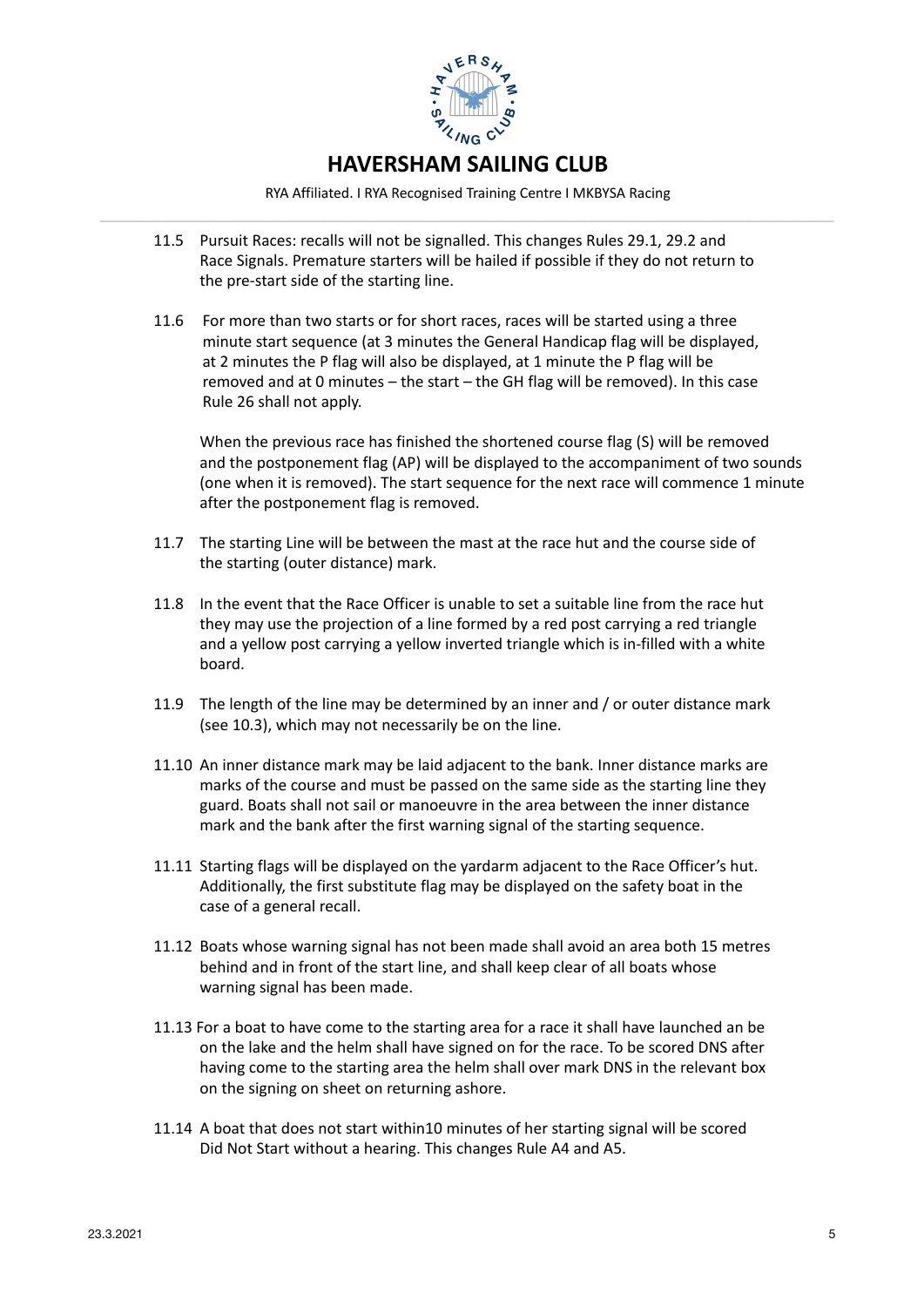

RYA Affiliated. I RYA Recognised Training Centre I MKBYSA Racing **–––––––––––––––––––––––––––––––––––––––––––––––––––––––––––––––––––––––––––––––––––––––––––––––**

- 11.5 Pursuit Races: recalls will not be signalled. This changes Rules 29.1, 29.2 and Race Signals. Premature starters will be hailed if possible if they do not return to the pre-start side of the starting line.
- 11.6 For more than two starts or for short races, races will be started using a three minute start sequence (at 3 minutes the General Handicap flag will be displayed, at 2 minutes the P flag will also be displayed, at 1 minute the P flag will be removed and at 0 minutes - the start - the GH flag will be removed). In this case Rule 26 shall not apply.

When the previous race has finished the shortened course flag (S) will be removed and the postponement flag (AP) will be displayed to the accompaniment of two sounds (one when it is removed). The start sequence for the next race will commence 1 minute after the postponement flag is removed.

- 11.7 The starting Line will be between the mast at the race hut and the course side of the starting (outer distance) mark.
- 11.8 In the event that the Race Officer is unable to set a suitable line from the race hut they may use the projection of a line formed by a red post carrying a red triangle and a yellow post carrying a yellow inverted triangle which is in-filled with a white board.
- 11.9 The length of the line may be determined by an inner and / or outer distance mark (see 10.3), which may not necessarily be on the line.
- 11.10 An inner distance mark may be laid adjacent to the bank. Inner distance marks are marks of the course and must be passed on the same side as the starting line they guard. Boats shall not sail or manoeuvre in the area between the inner distance mark and the bank after the first warning signal of the starting sequence.
- 11.11 Starting flags will be displayed on the vardarm adjacent to the Race Officer's hut. Additionally, the first substitute flag may be displayed on the safety boat in the case of a general recall.
- 11.12 Boats whose warning signal has not been made shall avoid an area both 15 metres behind and in front of the start line, and shall keep clear of all boats whose warning signal has been made.
- 11.13 For a boat to have come to the starting area for a race it shall have launched an be on the lake and the helm shall have signed on for the race. To be scored DNS after having come to the starting area the helm shall over mark DNS in the relevant box on the signing on sheet on returning ashore.
- 11.14 A boat that does not start within10 minutes of her starting signal will be scored Did Not Start without a hearing. This changes Rule A4 and A5.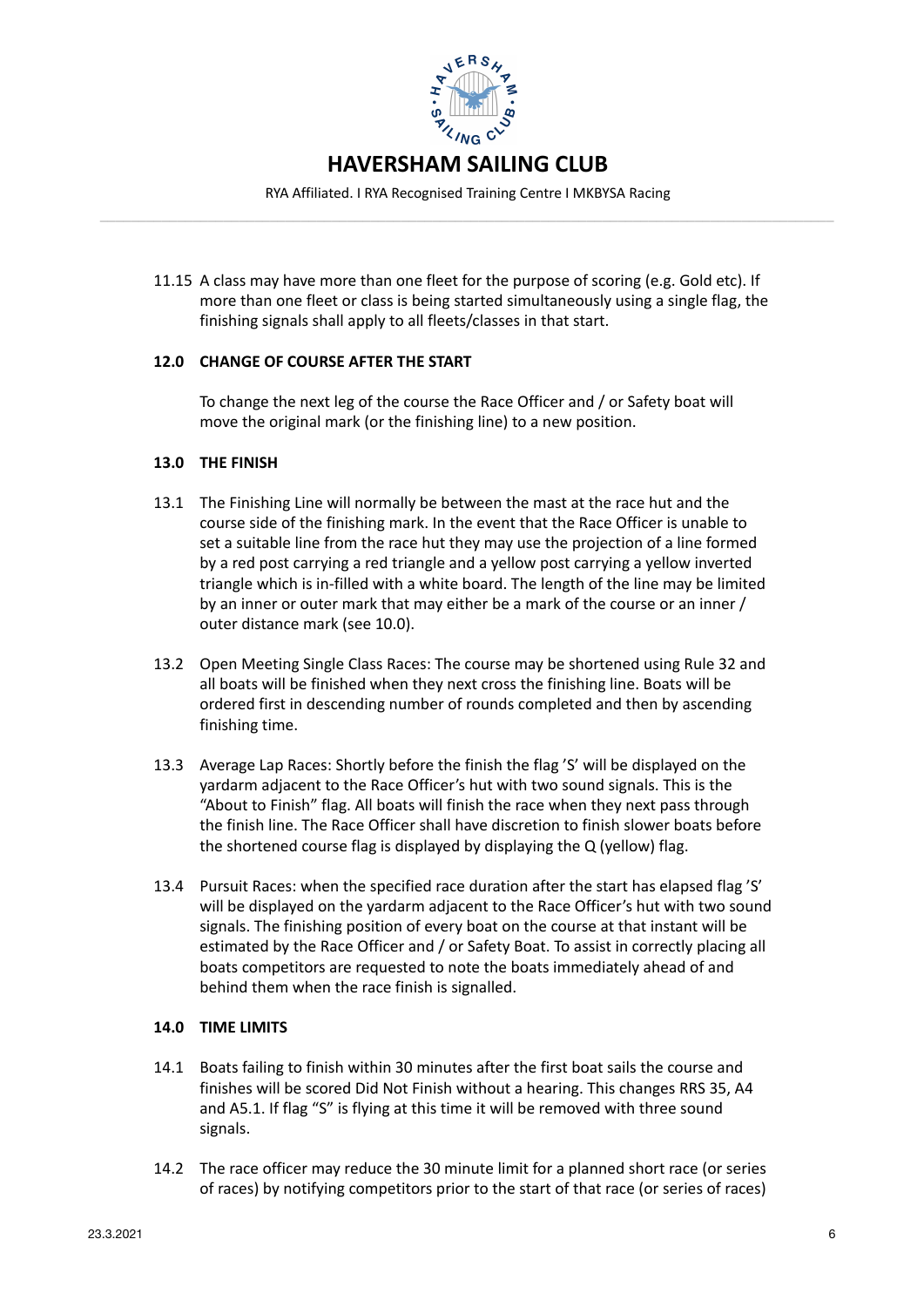

RYA Affiliated. I RYA Recognised Training Centre I MKBYSA Racing **–––––––––––––––––––––––––––––––––––––––––––––––––––––––––––––––––––––––––––––––––––––––––––––––**

11.15 A class may have more than one fleet for the purpose of scoring (e.g. Gold etc). If more than one fleet or class is being started simultaneously using a single flag, the finishing signals shall apply to all fleets/classes in that start.

# **12.0 CHANGE OF COURSE AFTER THE START**

To change the next leg of the course the Race Officer and / or Safety boat will move the original mark (or the finishing line) to a new position.

## **13.0 THE FINISH**

- 13.1 The Finishing Line will normally be between the mast at the race hut and the course side of the finishing mark. In the event that the Race Officer is unable to set a suitable line from the race hut they may use the projection of a line formed by a red post carrying a red triangle and a yellow post carrying a yellow inverted triangle which is in-filled with a white board. The length of the line may be limited by an inner or outer mark that may either be a mark of the course or an inner / outer distance mark (see 10.0).
- 13.2 Open Meeting Single Class Races: The course may be shortened using Rule 32 and all boats will be finished when they next cross the finishing line. Boats will be ordered first in descending number of rounds completed and then by ascending finishing time.
- 13.3 Average Lap Races: Shortly before the finish the flag 'S' will be displayed on the yardarm adjacent to the Race Officer's hut with two sound signals. This is the "About to Finish" flag. All boats will finish the race when they next pass through the finish line. The Race Officer shall have discretion to finish slower boats before the shortened course flag is displayed by displaying the  $Q$  (yellow) flag.
- 13.4 Pursuit Races: when the specified race duration after the start has elapsed flag 'S' will be displayed on the yardarm adjacent to the Race Officer's hut with two sound signals. The finishing position of every boat on the course at that instant will be estimated by the Race Officer and / or Safety Boat. To assist in correctly placing all boats competitors are requested to note the boats immediately ahead of and behind them when the race finish is signalled.

## **14.0 TIME LIMITS**

- 14.1 Boats failing to finish within 30 minutes after the first boat sails the course and finishes will be scored Did Not Finish without a hearing. This changes RRS 35, A4 and A5.1. If flag "S" is flying at this time it will be removed with three sound signals.
- 14.2 The race officer may reduce the 30 minute limit for a planned short race (or series of races) by notifying competitors prior to the start of that race (or series of races)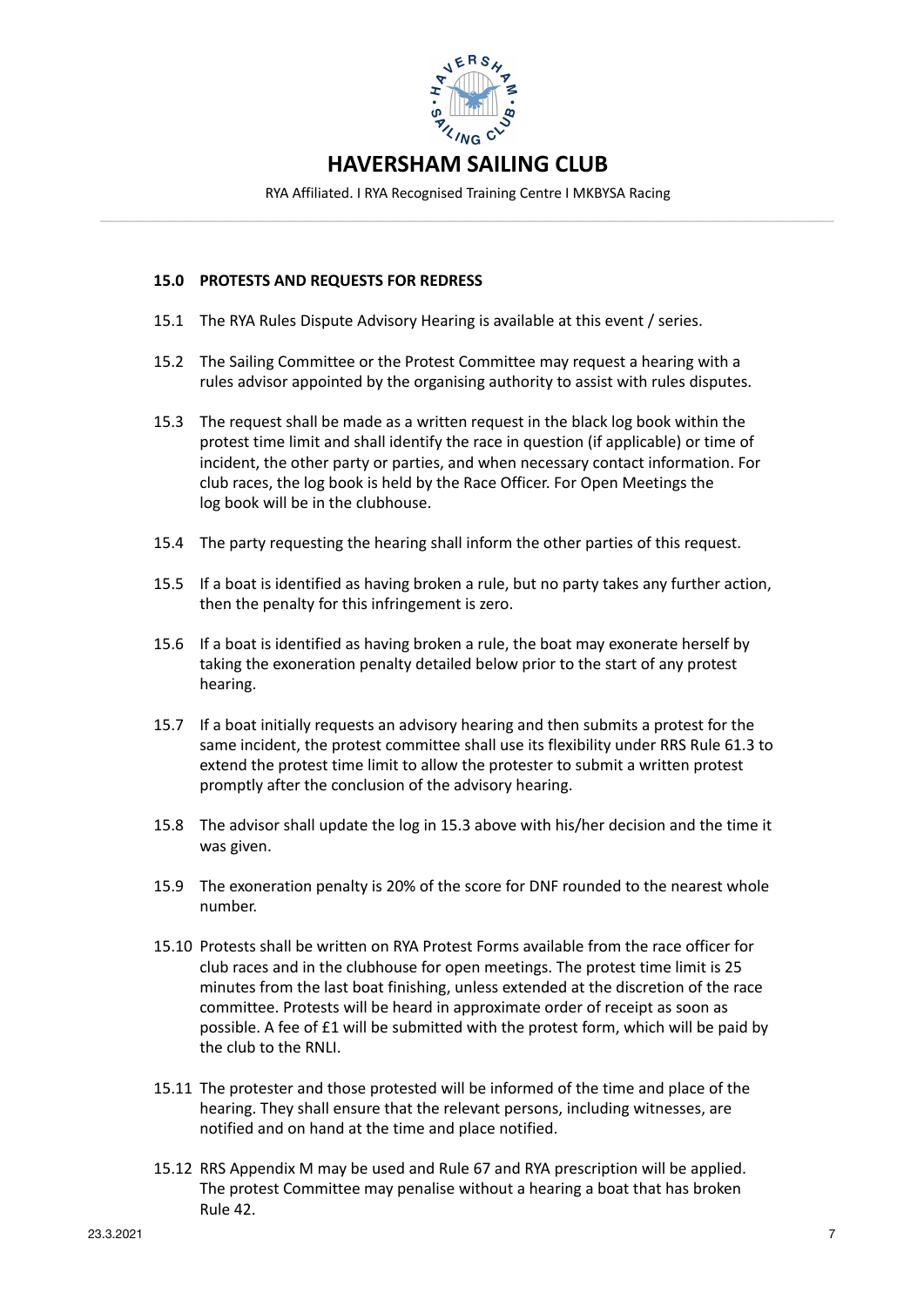

RYA Affiliated. I RYA Recognised Training Centre I MKBYSA Racing **–––––––––––––––––––––––––––––––––––––––––––––––––––––––––––––––––––––––––––––––––––––––––––––––**

## **15.0 PROTESTS AND REQUESTS FOR REDRESS**

- 15.1 The RYA Rules Dispute Advisory Hearing is available at this event / series.
- 15.2 The Sailing Committee or the Protest Committee may request a hearing with a rules advisor appointed by the organising authority to assist with rules disputes.
- 15.3 The request shall be made as a written request in the black log book within the protest time limit and shall identify the race in question (if applicable) or time of incident, the other party or parties, and when necessary contact information. For club races, the log book is held by the Race Officer. For Open Meetings the log book will be in the clubhouse.
- 15.4 The party requesting the hearing shall inform the other parties of this request.
- 15.5 If a boat is identified as having broken a rule, but no party takes any further action, then the penalty for this infringement is zero.
- 15.6 If a boat is identified as having broken a rule, the boat may exonerate herself by taking the exoneration penalty detailed below prior to the start of any protest hearing.
- 15.7 If a boat initially requests an advisory hearing and then submits a protest for the same incident, the protest committee shall use its flexibility under RRS Rule 61.3 to extend the protest time limit to allow the protester to submit a written protest promptly after the conclusion of the advisory hearing.
- 15.8 The advisor shall update the log in 15.3 above with his/her decision and the time it was given.
- 15.9 The exoneration penalty is 20% of the score for DNF rounded to the nearest whole number.
- 15.10 Protests shall be written on RYA Protest Forms available from the race officer for club races and in the clubhouse for open meetings. The protest time limit is 25 minutes from the last boat finishing, unless extended at the discretion of the race committee. Protests will be heard in approximate order of receipt as soon as possible. A fee of  $£1$  will be submitted with the protest form, which will be paid by the club to the RNLL
- 15.11 The protester and those protested will be informed of the time and place of the hearing. They shall ensure that the relevant persons, including witnesses, are notified and on hand at the time and place notified.
- 15.12 RRS Appendix M may be used and Rule 67 and RYA prescription will be applied. The protest Committee may penalise without a hearing a boat that has broken Rule 42.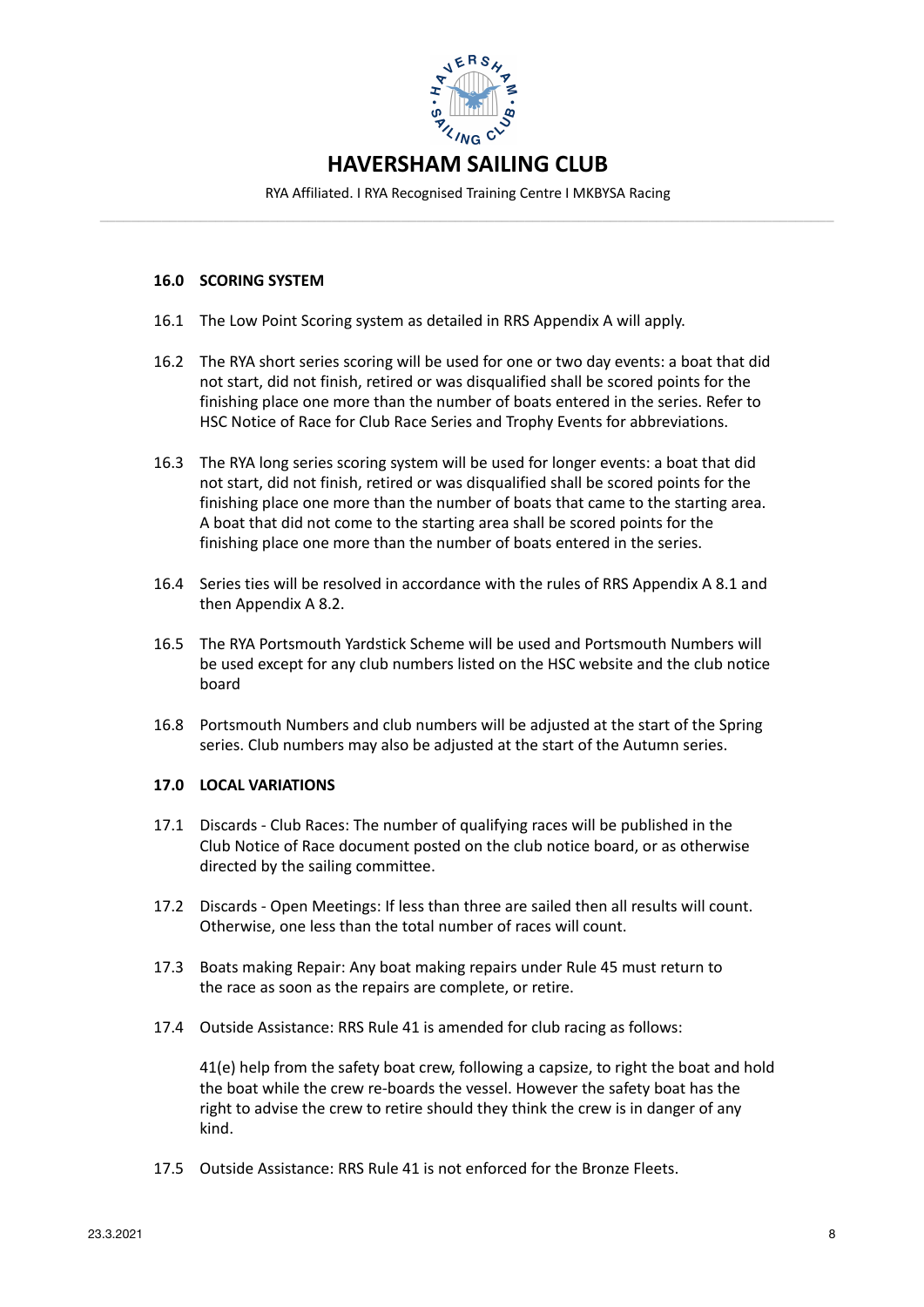

RYA Affiliated. I RYA Recognised Training Centre I MKBYSA Racing **–––––––––––––––––––––––––––––––––––––––––––––––––––––––––––––––––––––––––––––––––––––––––––––––**

## **16.0 SCORING SYSTEM**

- 16.1 The Low Point Scoring system as detailed in RRS Appendix A will apply.
- 16.2 The RYA short series scoring will be used for one or two day events: a boat that did not start, did not finish, retired or was disqualified shall be scored points for the finishing place one more than the number of boats entered in the series. Refer to HSC Notice of Race for Club Race Series and Trophy Events for abbreviations.
- 16.3 The RYA long series scoring system will be used for longer events: a boat that did not start, did not finish, retired or was disqualified shall be scored points for the finishing place one more than the number of boats that came to the starting area. A boat that did not come to the starting area shall be scored points for the finishing place one more than the number of boats entered in the series.
- 16.4 Series ties will be resolved in accordance with the rules of RRS Appendix A 8.1 and then Appendix A 8.2.
- 16.5 The RYA Portsmouth Yardstick Scheme will be used and Portsmouth Numbers will be used except for any club numbers listed on the HSC website and the club notice board
- 16.8 Portsmouth Numbers and club numbers will be adjusted at the start of the Spring series. Club numbers may also be adjusted at the start of the Autumn series.

## **17.0 LOCAL VARIATIONS**

- 17.1 Discards Club Races: The number of qualifying races will be published in the Club Notice of Race document posted on the club notice board, or as otherwise directed by the sailing committee.
- 17.2 Discards Open Meetings: If less than three are sailed then all results will count. Otherwise, one less than the total number of races will count.
- 17.3 Boats making Repair: Any boat making repairs under Rule 45 must return to the race as soon as the repairs are complete, or retire.
- 17.4 Outside Assistance: RRS Rule 41 is amended for club racing as follows:

41(e) help from the safety boat crew, following a capsize, to right the boat and hold the boat while the crew re-boards the vessel. However the safety boat has the right to advise the crew to retire should they think the crew is in danger of any kind.

17.5 Outside Assistance: RRS Rule 41 is not enforced for the Bronze Fleets.